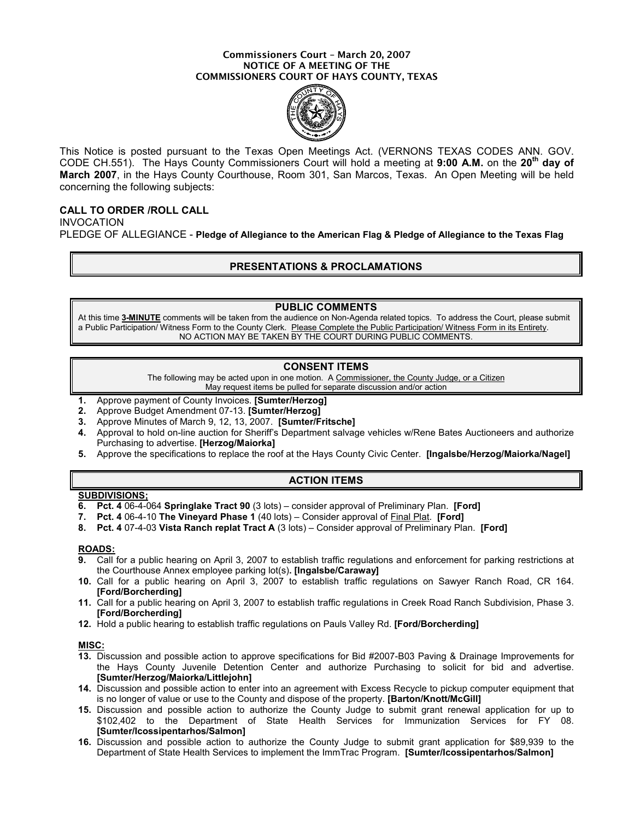#### Commissioners Court – March 20, 2007 NOTICE OF A MEETING OF THE COMMISSIONERS COURT OF HAYS COUNTY, TEXAS



This Notice is posted pursuant to the Texas Open Meetings Act. (VERNONS TEXAS CODES ANN. GOV. CODE CH.551). The Hays County Commissioners Court will hold a meeting at 9:00 A.M. on the 20<sup>th</sup> day of March 2007, in the Hays County Courthouse, Room 301, San Marcos, Texas. An Open Meeting will be held concerning the following subjects:

# CALL TO ORDER /ROLL CALL

INVOCATION PLEDGE OF ALLEGIANCE - Pledge of Allegiance to the American Flag & Pledge of Allegiance to the Texas Flag

# PRESENTATIONS & PROCLAMATIONS

## PUBLIC COMMENTS

At this time 3-MINUTE comments will be taken from the audience on Non-Agenda related topics. To address the Court, please submit a Public Participation/ Witness Form to the County Clerk. Please Complete the Public Participation/ Witness Form in its Entirety. NO ACTION MAY BE TAKEN BY THE COURT DURING PUBLIC COMMENTS.

## CONSENT ITEMS

The following may be acted upon in one motion. A Commissioner, the County Judge, or a Citizen May request items be pulled for separate discussion and/or action

- 1. Approve payment of County Invoices. [Sumter/Herzog]
- 2. Approve Budget Amendment 07-13. [Sumter/Herzog]
- 3. Approve Minutes of March 9, 12, 13, 2007. [Sumter/Fritsche]
- 4. Approval to hold on-line auction for Sheriff's Department salvage vehicles w/Rene Bates Auctioneers and authorize Purchasing to advertise. [Herzog/Maiorka]
- 5. Approve the specifications to replace the roof at the Hays County Civic Center. [Ingalsbe/Herzog/Maiorka/Nagel]

# ACTION ITEMS

# SUBDIVISIONS;

- 6. Pct. 4 06-4-064 Springlake Tract 90 (3 lots) consider approval of Preliminary Plan. [Ford]
- 7. Pct. 4 06-4-10 The Vineyard Phase 1 (40 lots) Consider approval of Final Plat. [Ford]
- 8. Pct. 4 07-4-03 Vista Ranch replat Tract A (3 lots) Consider approval of Preliminary Plan. [Ford]

## ROADS:

- 9. Call for a public hearing on April 3, 2007 to establish traffic regulations and enforcement for parking restrictions at the Courthouse Annex employee parking lot(s). [Ingalsbe/Caraway]
- 10. Call for a public hearing on April 3, 2007 to establish traffic regulations on Sawyer Ranch Road, CR 164. [Ford/Borcherding]
- 11. Call for a public hearing on April 3, 2007 to establish traffic regulations in Creek Road Ranch Subdivision, Phase 3. [Ford/Borcherding]
- 12. Hold a public hearing to establish traffic regulations on Pauls Valley Rd. [Ford/Borcherding]

#### MISC:

- 13. Discussion and possible action to approve specifications for Bid #2007-B03 Paving & Drainage Improvements for the Hays County Juvenile Detention Center and authorize Purchasing to solicit for bid and advertise. [Sumter/Herzog/Maiorka/Littlejohn]
- 14. Discussion and possible action to enter into an agreement with Excess Recycle to pickup computer equipment that is no longer of value or use to the County and dispose of the property. [Barton/Knott/McGill]
- 15. Discussion and possible action to authorize the County Judge to submit grant renewal application for up to \$102,402 to the Department of State Health Services for Immunization Services for FY 08. [Sumter/Icossipentarhos/Salmon]
- 16. Discussion and possible action to authorize the County Judge to submit grant application for \$89,939 to the Department of State Health Services to implement the ImmTrac Program. [Sumter/Icossipentarhos/Salmon]